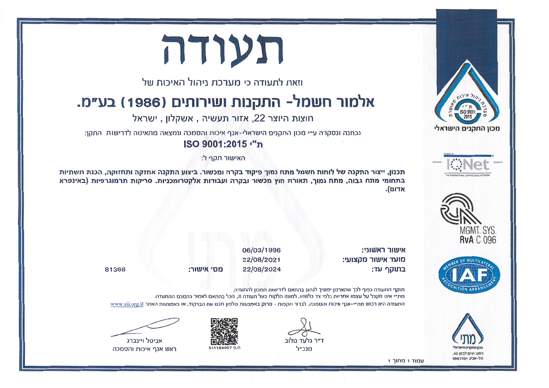



וזאת לתעודה כי מערכת ניהול האיכות של

## אלמור חשמל- התקנות ושירותים (1986) בע״מ.

חוצות היוצר 22, אזור תעשיה, אשקלון, ישראל

נבחנה ונסקרה ע״י מכוו התקנים הישראלי-אגף איכות והסמכה ונמצאה מתאימה לדרישות. התקן:

ISO 9001:2015 "n

האישור תקף ל:

תכנוו. ייצור התקנה של לוחות חשמל מתח נמור פיקוד בקרה ומכשור. ביצוע התקנה אחזקה ותחזוקה, הכנת תשתיות בתחומי מתח גבוה. מתח נמור, תאורת חוץ מכשור ובקרה ועבודות אלקטרומכניות. סריקות תרמוגרפיות (באינפרא  $ln$ דום





איוויור ראווורי מועד אישור מהצועי: בתוקף עד:

06/03/1996 22/08/2021 22/08/2024

81368

מת״י אינו מהכל על עצמו אחריות כלפי צד כלשהו. למעט הלהוח בעל תעודה זו. הכל בהתאם לאמור בהסכם ההתעדה. התעודה היא רכוש מת״י-אגר איכות והסמכה. לברור תקפות - סרוק באמצעות טלפוו חכם את הברקוד, או באמצעות האתר www.sii.org.il



חל ערוך וחללפם



חוהף החעודה כפוף לכר שהארנוו ימשיר לנהוג כהתאם לדרישות המכוו להתעדה.

ד״ר נלווד נולוכ h"ר"ל



מס׳ אישור:



אביטל ויינברג ראש אגף איכות והסמכה

 $1$  חחור  $1$